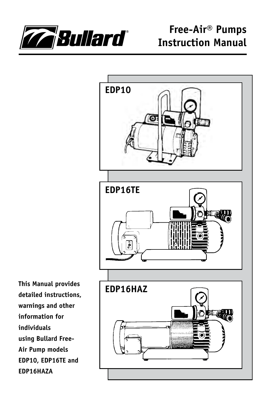



**This Manual provides detailed instructions, warnings and other information for individuals using Bullard Free-Air Pump models EDP10, EDP16TE and EDP16HAZA**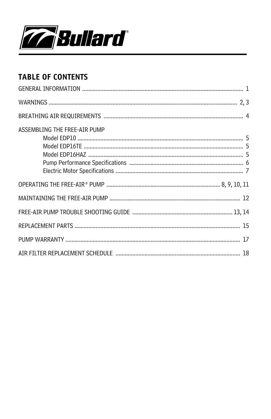

## **TABLE OF CONTENTS**

| ASSEMBLING THE FREE-AIR PUMP |  |
|------------------------------|--|
|                              |  |
|                              |  |
|                              |  |
|                              |  |
|                              |  |
|                              |  |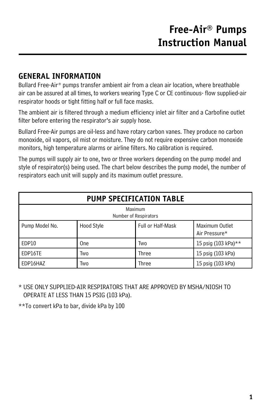## **GENERAL INFORMATION**

Bullard Free-Air® pumps transfer ambient air from a clean air location, where breathable air can be assured at all times, to workers wearing Type C or CE continuous- flow supplied-air respirator hoods or tight fitting half or full face masks.

The ambient air is filtered through a medium efficiency inlet air filter and a Carbofine outlet filter before entering the respirator's air supply hose.

Bullard Free-Air pumps are oil-less and have rotary carbon vanes. They produce no carbon monoxide, oil vapors, oil mist or moisture. They do not require expensive carbon monoxide monitors, high temperature alarms or airline filters. No calibration is required.

The pumps will supply air to one, two or three workers depending on the pump model and style of respirator(s) being used. The chart below describes the pump model, the number of respirators each unit will supply and its maximum outlet pressure.

| PUMP SPECIFICATION TABLE         |            |                   |                                 |
|----------------------------------|------------|-------------------|---------------------------------|
| Maximum<br>Number of Respirators |            |                   |                                 |
| Pump Model No.                   | Hood Style | Full or Half-Mask | Maximum Outlet<br>Air Pressure* |
| EDP10                            | One        | Two               | 15 psig (103 kPa)**             |
| EDP16TE                          | Two        | Three             | 15 psig (103 kPa)               |
| EDP16HAZ                         | Two        | Three             | 15 psig (103 kPa)               |

\* USE ONLY SUPPLIED-AIR RESPIRATORS THAT ARE APPROVED BY MSHA/NIOSH TO OPERATE AT LESS THAN 15 PSIG (103 kPa).

\*\*To convert kPa to bar, divide kPa by 100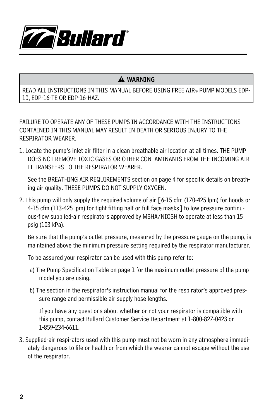

### � **WARNING**

READ ALL INSTRUCTIONS IN THIS MANUAL BEFORE USING FREE AIR® PUMP MODELS EDP-10, EDP-16-TE OR EDP-16-HAZ.

FAILURE TO OPERATE ANY OF THESE PUMPS IN ACCORDANCE WITH THE INSTRUCTIONS CONTAINED IN THIS MANUAL MAY RESULT IN DEATH OR SERIOUS INJURY TO THE RESPIRATOR WEARER.

1. Locate the pump's inlet air filter in a clean breathable air location at all times. The pump DOES NOT remove toxic gases or other contaminants from the incoming air it transfers to the respirator wearer.

See the BREATHING AIR REQUIREMENTS section on page 4 for specific details on breathing air quality. THESE PUMPS DO NOT SUPPLY OXYGEN.

2. This pump will only supply the required volume of air [6-15 cfm (170-425 lpm) for hoods or 4-15 cfm (113-425 lpm) for tight fitting half or full face masks] to low pressure continuous-flow supplied-air respirators approved by MSHA/NIOSH to operate at less than 15 psig (103 kPa).

Be sure that the pump's outlet pressure, measured by the pressure gauge on the pump, is maintained above the minimum pressure setting required by the respirator manufacturer.

To be assured your respirator can be used with this pump refer to:

- a) The Pump Specification Table on page 1 for the maximum outlet pressure of the pump model you are using.
- b) The section in the respirator's instruction manual for the respirator's approved pressure range and permissible air supply hose lengths.

If you have any questions about whether or not your respirator is compatible with this pump, contact Bullard Customer Service Department at 1-800-827-0423 or 1-859-234-6611.

3. Supplied-air respirators used with this pump must not be worn in any atmosphere immediately dangerous to life or health or from which the wearer cannot escape without the use of the respirator.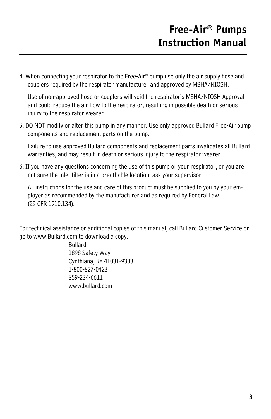4. When connecting your respirator to the Free-Air® pump use only the air supply hose and couplers required by the respirator manufacturer and approved by MSHA/NIOSH.

Use of non-approved hose or couplers will void the respirator's MSHA/NIOSH Approval and could reduce the air flow to the respirator, resulting in possible death or serious injury to the respirator wearer.

5. DO NOT modify or alter this pump in any manner. Use only approved Bullard Free-Air pump components and replacement parts on the pump.

Failure to use approved Bullard components and replacement parts invalidates all Bullard warranties, and may result in death or serious injury to the respirator wearer.

6. If you have any questions concerning the use of this pump or your respirator, or you are not sure the inlet filter is in a breathable location, ask your supervisor.

All instructions for the use and care of this product must be supplied to you by your employer as recommended by the manufacturer and as required by Federal Law (29 CFR 1910.134).

For technical assistance or additional copies of this manual, call Bullard Customer Service or go to www.Bullard.com to download a copy.

> Bullard 1898 Safety Way Cynthiana, KY 41031-9303 1-800-827-0423 859-234-6611 www.bullard.com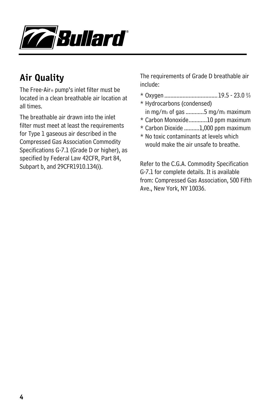

# **Air Quality**

The Free-Air® pump's inlet filter must be located in a clean breathable air location at all times.

The breathable air drawn into the inlet filter must meet at least the requirements for Type 1 gaseous air described in the Compressed Gas Association Commodity Specifications G-7.1 (Grade D or higher), as specified by Federal Law 42CFR, Part 84, Subpart b, and 29CFR1910.134(i).

The requirements of Grade D breathable air include:

- \* Oxygen ...................................19.5 23.0 %
- \* Hydrocarbons (condensed) in mg/m $_3$  of gas ............5 mg/m $_3$  maximum
- \* Carbon Monoxide............10 ppm maximum
- \* Carbon Dioxide ..........1,000 ppm maximum
- \* No toxic contaminants at levels which would make the air unsafe to breathe.

Refer to the C.G.A. Commodity Specification G-7.1 for complete details. It is available from: Compressed Gas Association, 500 Fifth Ave., New York, NY 10036.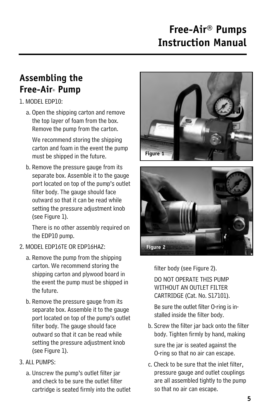# **Assembling the Free-Air® Pump**

### 1. MODEL EDP10:

a. Open the shipping carton and remove the top layer of foam from the box. Remove the pump from the carton.

We recommend storing the shipping carton and foam in the event the pump must be shipped in the future.

b. Remove the pressure gauge from its separate box. Assemble it to the gauge port located on top of the pump's outlet filter body. The gauge should face outward so that it can be read while setting the pressure adjustment knob (see Figure 1).

There is no other assembly required on the EDP10 pump.

### 2. MODEL EDP16TE OR EDP16HAZ:

- a. Remove the pump from the shipping carton. We recommend storing the shipping carton and plywood board in the event the pump must be shipped in the future.
- b. Remove the pressure gauge from its separate box. Assemble it to the gauge port located on top of the pump's outlet filter body. The gauge should face outward so that it can be read while setting the pressure adjustment knob (see Figure 1).

### 3. ALL PUMPS:

a. Unscrew the pump's outlet filter jar and check to be sure the outlet filter cartridge is seated firmly into the outlet





filter body (see Figure 2). DO NOT OPERATE THIS PUMP

WITHOUT AN OUTLET FILTER CARTRIDGE (Cat. No. S17101).

Be sure the outlet filter O-ring is installed inside the filter body.

b. Screw the filter jar back onto the filter body. Tighten firmly by hand, making sure the jar is seated against the O-ring so that no air can escape.

c. Check to be sure that the inlet filter, pressure gauge and outlet couplings are all assembled tightly to the pump so that no air can escape.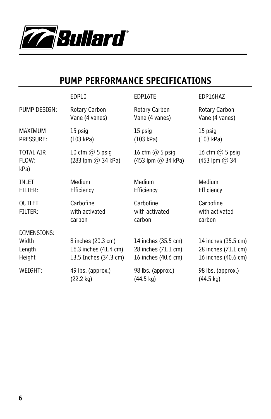

# **PUMP PERFORMANCE SPECIFICATIONS**

|                                          | EDP10                                                                | EDP16TE                                                           | EDP16HAZ                                                          |
|------------------------------------------|----------------------------------------------------------------------|-------------------------------------------------------------------|-------------------------------------------------------------------|
| PUMP DESIGN:                             | Rotary Carbon                                                        | Rotary Carbon                                                     | Rotary Carbon                                                     |
|                                          | Vane (4 vanes)                                                       | Vane (4 vanes)                                                    | Vane (4 vanes)                                                    |
| MAXIMUM                                  | 15 psig                                                              | 15 psig                                                           | 15 psig                                                           |
| PRESSURE:                                | (103 kPa)                                                            | (103 kPa)                                                         | (103 kPa)                                                         |
| <b>TOTAL AIR</b><br>FLOW:<br>kPa)        | 10 cfm $@$ 5 psig<br>$(283$ lpm $@$ 34 kPa)                          | 16 cfm $@$ 5 psig<br>(453 lpm $@$ 34 kPa)                         | 16 cfm $@$ 5 psig<br>$(453$ lpm $@34$                             |
| <b>INLET</b>                             | Medium                                                               | Medium                                                            | Medium                                                            |
| FILTER:                                  | Efficiency                                                           | Efficiency                                                        | Efficiency                                                        |
| <b>OUTLET</b><br><b>FILTER:</b>          | Carbofine<br>with activated<br>carbon                                | Carbofine<br>with activated<br>carbon                             | Carbofine<br>with activated<br>carbon                             |
| DIMENSIONS:<br>Width<br>Length<br>Height | 8 inches (20.3 cm)<br>16.3 inches (41.4 cm)<br>13.5 Inches (34.3 cm) | 14 inches (35.5 cm)<br>28 inches (71.1 cm)<br>16 inches (40.6 cm) | 14 inches (35.5 cm)<br>28 inches (71.1 cm)<br>16 inches (40.6 cm) |
| WEIGHT:                                  | 49 lbs. (approx.)                                                    | 98 lbs. (approx.)                                                 | 98 lbs. (approx.)                                                 |
|                                          | $(22.2 \text{ kg})$                                                  | $(44.5 \text{ kg})$                                               | $(44.5 \text{ kg})$                                               |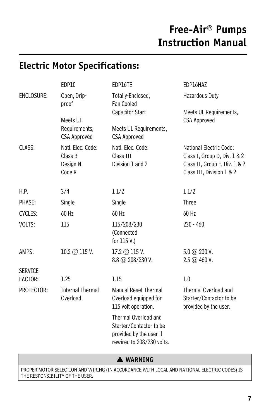# **Electric Motor Specifications:**

|                | EDP10                                              | EDP16TE                                                                                                 | EDP16HAZ                                                                                                              |
|----------------|----------------------------------------------------|---------------------------------------------------------------------------------------------------------|-----------------------------------------------------------------------------------------------------------------------|
| ENCLOSURE:     | Open, Drip-<br>proof                               | Totally-Enclosed,<br>Fan Cooled                                                                         | Hazardous Duty                                                                                                        |
|                | Meets UL<br>Requirements,<br><b>CSA Approved</b>   | Capacitor Start<br>Meets UL Requirements,<br><b>CSA Approved</b>                                        | Meets UL Requirements,<br><b>CSA Approved</b>                                                                         |
| CLASS:         | Natl. Elec. Code:<br>Class B<br>Design N<br>Code K | Natl. Elec. Code:<br>Class III<br>Division 1 and 2                                                      | National Electric Code:<br>Class I, Group D, Div. 1 & 2<br>Class II, Group F, Div. 1 & 2<br>Class III, Division 1 & 2 |
| H.P.           | 3/4                                                | 11/2                                                                                                    | 11/2                                                                                                                  |
| PHASE:         | Single                                             | Single                                                                                                  | Three                                                                                                                 |
| CYCLES:        | $60$ Hz                                            | 60 Hz                                                                                                   | $60$ Hz                                                                                                               |
| VOLTS:         | 115                                                | 115/208/230<br>(Connected<br>for 115 V.)                                                                | $230 - 460$                                                                                                           |
| AMPS:          | 10.2 @ 115 V.                                      | 17.2 @ 115 V.<br>$8.8 \text{ @ } 208/230 \text{ V.}$                                                    | $5.0 \; @$ 230 V.<br>2.5 @ 460 V.                                                                                     |
| <b>SERVICE</b> |                                                    |                                                                                                         |                                                                                                                       |
| FACTOR:        | 1.25                                               | 1.15                                                                                                    | 1.0                                                                                                                   |
| PROTECTOR:     | <b>Internal Thermal</b><br>Overload                | <b>Manual Reset Thermal</b><br>Overload equipped for<br>115 volt operation.                             | Thermal Overload and<br>Starter/Contactor to be<br>provided by the user.                                              |
|                |                                                    | Thermal Overload and<br>Starter/Contactor to be<br>provided by the user if<br>rewired to 208/230 volts. |                                                                                                                       |

### � **WARNING**

PROPER MOTOR SELECTION AND WIRING (IN ACCORDANCE WITH LOCAL AND NATIONAL ELECTRIC CODES) IS THE RESPONSIBILITY OF THE USER.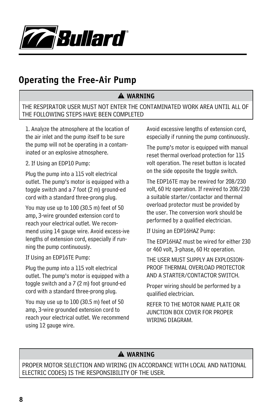

# **Operating the Free-Air Pump**

### � **WARNING**

THE RESPIRATOR USER MUST NOT ENTER THE CONTAMINATED WORK AREA UNTIL ALL OF THE FOLLOWING STEPS HAVE BEEN COMPLETED

1. Analyze the atmosphere at the location of the air inlet and the pump itself to be sure the pump will not be operating in a contaminated or an explosive atmosphere.

2. If Using an EDP10 Pump:

Plug the pump into a 115 volt electrical outlet. The pump's motor is equipped with a toggle switch and a 7 foot (2 m) ground-ed cord with a standard three-prong plug.

You may use up to 100 (30.5 m) feet of 50 amp, 3-wire grounded extension cord to reach your electrical outlet. We recommend using 14 gauge wire. Avoid excess-ive lengths of extension cord, especially if running the pump continuously.

If Using an EDP16TE Pump:

Plug the pump into a 115 volt electrical outlet. The pump's motor is equipped with a toggle switch and a 7 (2 m) foot ground-ed cord with a standard three-prong plug.

You may use up to 100 (30.5 m) feet of 50 amp, 3-wire grounded extension cord to reach your electrical outlet. We recommend using 12 gauge wire.

Avoid excessive lengths of extension cord, especially if running the pump continuously.

The pump's motor is equipped with manual reset thermal overload protection for 115 volt operation. The reset button is located on the side opposite the toggle switch.

The EDP16TE may be rewired for 208/230 volt, 60 Hz operation. If rewired to 208/230 a suitable starter/contactor and thermal overload protector must be provided by the user. The conversion work should be performed by a qualified electrician.

If Using an EDP16HAZ Pump:

The EDP16HAZ must be wired for either 230 or 460 volt, 3-phase, 60 Hz operation.

THE USER MUST SUPPLY AN EXPLOSION-PROOF THERMAL OVERLOAD PROTECTOR AND A STARTER/CONTACTOR SWITCH.

Proper wiring should be performed by a qualified electrician.

REFER TO THE MOTOR NAME PLATE OR JUNCTION BOX COVER FOR PROPER WIRING DIAGRAM.

### � **WARNING**

PROPER MOTOR SELECTION AND WIRING (IN ACCORDANCE WITH LOCAL AND NATIONAL ELECTRIC CODES) IS THE RESPONSIBILITY OF THE USER.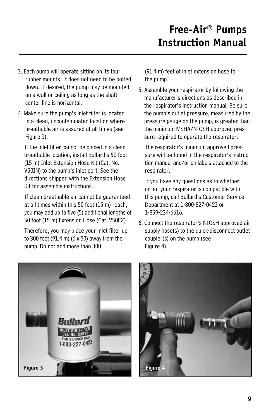- 3. Each pump will operate sitting on its four rubber mounts. It does not need to be bolted down. If desired, the pump may be mounted on a wall or ceiling as long as the shaft center line is horizontal.
- 4. Make sure the pump's inlet filter is located in a clean, uncontaminated location where breathable air is assured at all times (see Figure 3).

If the inlet filter cannot be placed in a clean breathable location, install Bullard's 50 foot (15 m) Inlet Extension Hose Kit (Cat. No. V50IN) to the pump's inlet port. See the directions shipped with the Extension Hose Kit for assembly instructions.

If clean breathable air cannot be guaranteed at all times within this 50 foot (15 m) reach, you may add up to five (5) additional lengths of 50 foot (15 m) Extension Hose (Cat. V50EX).

Therefore, you may place your inlet filter up to 300 feet (91.4 m) (6 x 50) away from the pump. Do not add more than 300

(91.4 m) feet of inlet extension hose to the pump.

5. Assemble your respirator by following the manufacturer's directions as described in the respirator's instruction manual. Be sure the pump's outlet pressure, measured by the pressure gauge on the pump, is greater than the minimum MSHA/NIOSH approved pressure required to operate the respirator.

The respirator's minimum approved pressure will be found in the respirator's instruction manual and/or on labels attached to the respirator.

If you have any questions as to whether or not your respirator is compatible with this pump, call Bullard's Customer Service Department at 1-800-827-0423 or 1-859-234-6616.

6. Connect the respirator's NIOSH approved air supply hose(s) to the quick-disconnect outlet coupler(s) on the pump (see Figure 4).



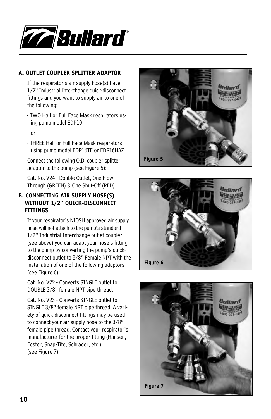

#### **A. OUTLET COUPLER SPLITTER ADAPTOR**

If the respirator's air supply hose(s) have 1/2" Industrial Interchange quick-disconnect fittings and you want to supply air to one of the following:

- TWO Half or Full Face Mask respirators using pump model EDP10

or

- THREE Half or Full Face Mask respirators using pump model EDP16TE or EDP16HAZ

Connect the following Q.D. coupler splitter adaptor to the pump (see Figure 5):

Cat. No. V24 - Double Outlet, One Flow-Through (GREEN) & One Shut-Off (RED).

#### **B. CONNECTING AIR SUPPLY HOSE(S) WITHOUT 1/2" QUICK-DISCONNECT FITTINGS**

If your respirator's NIOSH approved air supply hose will not attach to the pump's standard 1/2" Industrial Interchange outlet coupler, (see above) you can adapt your hose's fitting to the pump by converting the pump's quickdisconnect outlet to 3/8" Female NPT with the installation of one of the following adaptors (see Figure 6):

Cat. No. V22 - Converts SINGLE outlet to DOUBLE 3/8" female NPT pipe thread.

Cat. No. V23 - Converts SINGLE outlet to SINGLE 3/8" female NPT pipe thread. A variety of quick-disconnect fittings may be used to connect your air supply hose to the 3/8" female pipe thread. Contact your respirator's manufacturer for the proper fitting (Hansen, Foster, Snap-Tite, Schrader, etc.) (see Figure 7).





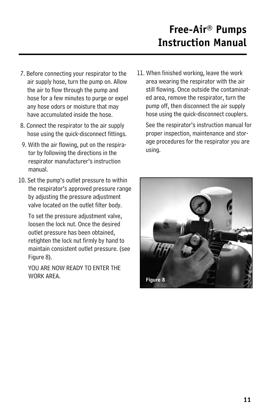- 7. Before connecting your respirator to the air supply hose, turn the pump on. Allow the air to flow through the pump and hose for a few minutes to purge or expel any hose odors or moisture that may have accumulated inside the hose.
- 8. Connect the respirator to the air supply hose using the quick-disconnect fittings.
- 9. With the air flowing, put on the respirator by following the directions in the respirator manufacturer's instruction manual.
- 10. Set the pump's outlet pressure to within the respirator's approved pressure range by adjusting the pressure adjustment valve located on the outlet filter body.

To set the pressure adjustment valve, loosen the lock nut. Once the desired outlet pressure has been obtained, retighten the lock nut firmly by hand to maintain consistent outlet pressure. (see Figure 8).

YOU ARE NOW READY TO ENTER THE WORK ARFA

11. When finished working, leave the work area wearing the respirator with the air still flowing. Once outside the contaminated area, remove the respirator, turn the pump off, then disconnect the air supply hose using the quick-disconnect couplers.

See the respirator's instruction manual for proper inspection, maintenance and storage procedures for the respirator you are using.

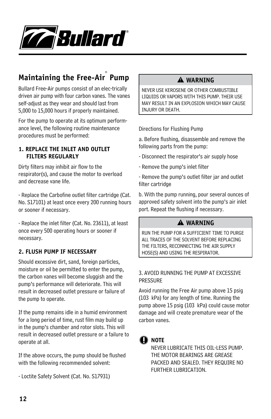

# **Maintaining the Free-Air® Pump**

Bullard Free-Air pumps consist of an elec-trically driven air pump with four carbon vanes. The vanes self-adjust as they wear and should last from 5,000 to 15,000 hours if properly maintained.

For the pump to operate at its optimum performance level, the following routine maintenance procedures must be performed:

#### **1. REPLACE THE INLET AND OUTLET FILTERS REGULARLY**

Dirty filters may inhibit air flow to the respirator(s), and cause the motor to overload and decrease vane life.

- Replace the Carbofine outlet filter cartridge (Cat. No. S17101) at least once every 200 running hours or sooner if necessary.

- Replace the inlet filter (Cat. No. 23611), at least once every 500 operating hours or sooner if necessary.

#### **2. FLUSH PUMP IF NECESSARY**

Should excessive dirt, sand, foreign particles, moisture or oil be permitted to enter the pump, the carbon vanes will become sluggish and the pump's performance will deteriorate. This will result in decreased outlet pressure or failure of the pump to operate.

If the pump remains idle in a humid environment for a long period of time, rust film may build up in the pump's chamber and rotor slots. This will result in decreased outlet pressure or a failure to operate at all.

If the above occurs, the pump should be flushed with the following recommended solvent:

- Loctite Safety Solvent (Cat. No. S17931)

### � **WARNING**

NEVER USE KEROSENE OR OTHER COMBUSTIBLE LIQUIDS OR VAPORS WITH THIS PUMP. THEIR USE MAY RESULT IN AN EXPLOSION WHICH MAY CAUSE INJURY OR DEATH.

Directions for Flushing Pump

a. Before flushing, disassemble and remove the following parts from the pump:

- Disconnect the respirator's air supply hose
- Remove the pump's inlet filter

- Remove the pump's outlet filter jar and outlet filter cartridge

b. With the pump running, pour several ounces of approved safety solvent into the pump's air inlet port. Repeat the flushing if necessary.

### � **WARNING**

RUN THE PUMP FOR A SUFFICIENT TIME TO PURGE ALL TRACES OF THE SOLVENT BEFORE REPLACING THE FILTERS, RECONNECTING THE AIR SUPPLY HOSE(S) AND USING THE RESPIRATOR.

#### 3. AVOID RUNNING THE PUMP AT EXCESSIVE PRESSURE

Avoid running the Free Air pump above 15 psig (103 kPa) for any length of time. Running the pump above 15 psig (103 kPa) could cause motor damage and will create premature wear of the carbon vanes.

## **NOTE**

NEVER LUBRICATE THIS OIL-LESS PUMP. THE MOTOR BEARINGS ARE GREASE PACKED AND SEALED. THEY REQUIRE NO FURTHER LUBRICATION.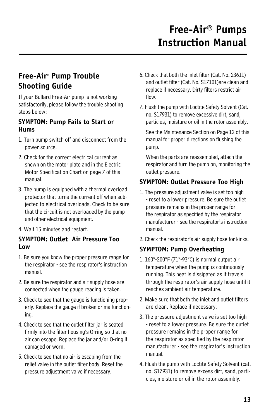## **Free-Air® Pump Trouble Shooting Guide**

If your Bullard Free-Air pump is not working satisfactorily, please follow the trouble shooting steps below:

### **SYMPTOM: Pump Fails to Start or Hums**

- 1. Turn pump switch off and disconnect from the power source.
- 2. Check for the correct electrical current as shown on the motor plate and in the Electric Motor Specification Chart on page 7 of this manual.
- 3. The pump is equipped with a thermal overload protector that turns the current off when subjected to electrical overloads. Check to be sure that the circuit is not overloaded by the pump and other electrical equipment.
- 4. Wait 15 minutes and restart.

#### **SYMPTOM: Outlet Air Pressure Too Low**

- 1. Be sure you know the proper pressure range for the respirator - see the respirator's instruction manual.
- 2. Be sure the respirator and air supply hose are connected when the gauge reading is taken.
- 3. Check to see that the gauge is functioning properly. Replace the gauge if broken or malfunctioning.
- 4. Check to see that the outlet filter jar is seated firmly into the filter housing's O-ring so that no air can escape. Replace the jar and/or O-ring if damaged or worn.
- 5. Check to see that no air is escaping from the relief valve in the outlet filter body. Reset the pressure adjustment valve if necessary.
- 6. Check that both the inlet filter (Cat. No. 23611) and outlet filter (Cat. No. S17101)are clean and replace if necessary. Dirty filters restrict air flow.
- 7. Flush the pump with Loctite Safety Solvent (Cat. no. S17931) to remove excessive dirt, sand, particles, moisture or oil in the rotor assembly.

See the Maintenance Section on Page 12 of this manual for proper directions on flushing the pump.

When the parts are reassembled, attach the respirator and turn the pump on, monitoring the outlet pressure.

### **SYMPTOM: Outlet Pressure Too High**

- 1. The pressure adjustment valve is set too high - reset to a lower pressure. Be sure the outlet pressure remains in the proper range for the respirator as specified by the respirator manufacturer - see the respirator's instruction manual.
- 2. Check the respirator's air supply hose for kinks.

### **SYMPTOM: Pump Overheating**

- 1. 160°-200°F (71°-93°C) is normal output air temperature when the pump is continuously running. This heat is dissipated as it travels through the respirator's air supply hose until it reaches ambient air temperature.
- 2. Make sure that both the inlet and outlet filters are clean. Replace if necessary.
- 3. The pressure adjustment valve is set too high - reset to a lower pressure. Be sure the outlet pressure remains in the proper range for the respirator as specified by the respirator manufacturer - see the respirator's instruction manual.
- 4. Flush the pump with Loctite Safety Solvent (cat. no. S17931) to remove excess dirt, sand, particles, moisture or oil in the rotor assembly.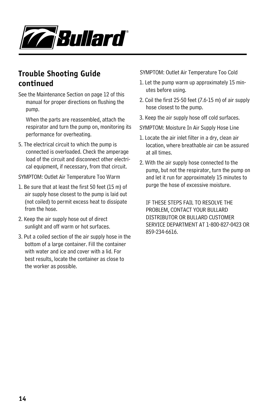

## **Trouble Shooting Guide continued**

See the Maintenance Section on page 12 of this manual for proper directions on flushing the pump.

When the parts are reassembled, attach the respirator and turn the pump on, monitoring its performance for overheating.

5. The electrical circuit to which the pump is connected is overloaded. Check the amperage load of the circuit and disconnect other electrical equipment, if necessary, from that circuit.

SYMPTOM: Outlet Air Temperature Too Warm

- 1. Be sure that at least the first 50 feet (15 m) of air supply hose closest to the pump is laid out (not coiled) to permit excess heat to dissipate from the hose.
- 2. Keep the air supply hose out of direct sunlight and off warm or hot surfaces.
- 3. Put a coiled section of the air supply hose in the bottom of a large container. Fill the container with water and ice and cover with a lid. For best results, locate the container as close to the worker as possible.

SYMPTOM: Outlet Air Temperature Too Cold

- 1. Let the pump warm up approximately 15 minutes before using.
- 2. Coil the first 25-50 feet (7.6-15 m) of air supply hose closest to the pump.
- 3. Keep the air supply hose off cold surfaces.

SYMPTOM: Moisture In Air Supply Hose Line

- 1. Locate the air inlet filter in a dry, clean air location, where breathable air can be assured at all times.
- 2. With the air supply hose connected to the pump, but not the respirator, turn the pump on and let it run for approximately 15 minutes to purge the hose of excessive moisture.

IF THESE STEPS FAIL TO RESOLVE THE PROBLEM, CONTACT YOUR BULLARD DISTRIBUTOR OR BULLARD CUSTOMER SERVICE DEPARTMENT AT 1-800-827-0423 OR 859-234-6616.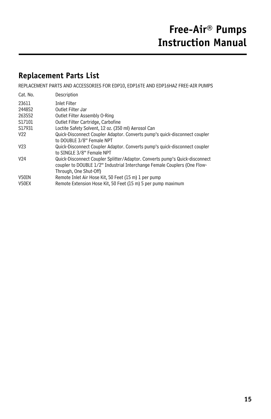## **Replacement Parts List**

REPLACEMENT PARTS AND ACCESSORIES FOR EDP10, EDP16TE AND EDP16HAZ FREE-AIR PUMPS

| Cat. No.        | Description                                                                 |
|-----------------|-----------------------------------------------------------------------------|
| 23611           | <b>Inlet Filter</b>                                                         |
| 244852          | Outlet Filter Jar                                                           |
| 263552          | Outlet Filter Assembly O-Ring                                               |
| S17101          | Outlet Filter Cartridge, Carbofine                                          |
| S17931          | Loctite Safety Solvent, 12 oz. (350 ml) Aerosol Can                         |
| V <sub>22</sub> | Quick-Disconnect Coupler Adaptor. Converts pump's quick-disconnect coupler  |
|                 | to DOUBLE 3/8" Female NPT                                                   |
| V <sub>23</sub> | Quick-Disconnect Coupler Adaptor. Converts pump's quick-disconnect coupler  |
|                 | to SINGLE 3/8" Female NPT                                                   |
| V <sub>24</sub> | Quick-Disconnect Coupler Splitter/Adaptor. Converts pump's Quick-disconnect |
|                 | coupler to DOUBLE 1/2" Industrial Interchange Female Couplers (One Flow-    |
|                 | Through, One Shut-Off)                                                      |
| V50IN           | Remote Inlet Air Hose Kit, 50 Feet (15 m) 1 per pump                        |
| V50EX           | Remote Extension Hose Kit, 50 Feet (15 m) 5 per pump maximum                |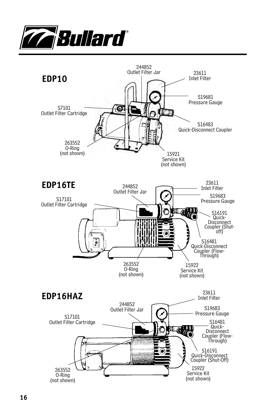

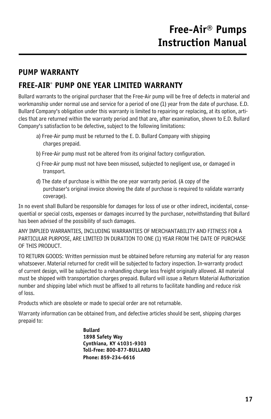# **PUMP WARRANTY FREE-AIR® PUMP ONE YEAR LIMITED WARRANTY**

Bullard warrants to the original purchaser that the Free-Air pump will be free of defects in material and workmanship under normal use and service for a period of one (1) year from the date of purchase. E.D. Bullard Company's obligation under this warranty is limited to repairing or replacing, at its option, articles that are returned within the warranty period and that are, after examination, shown to E.D. Bullard Company's satisfaction to be defective, subject to the following limitations:

- a) Free-Air pump must be returned to the E. D. Bullard Company with shipping charges prepaid.
- b) Free-Air pump must not be altered from its original factory configuration.
- c) Free-Air pump must not have been misused, subjected to negligent use, or damaged in transport.
- d) The date of purchase is within the one year warranty period. (A copy of the purchaser's original invoice showing the date of purchase is required to validate warranty coverage).

In no event shall Bullard be responsible for damages for loss of use or other indirect, incidental, consequential or special costs, expenses or damages incurred by the purchaser, notwithstanding that Bullard has been advised of the possibility of such damages.

ANY IMPLIED WARRANTIES, INCLUDING WARRANTIES OF MERCHANTABILITY AND FITNESS FOR A PARTICULAR PURPOSE, ARE LIMITED IN DURATION TO ONE (1) YEAR FROM THE DATE OF PURCHASE OF THIS PRODUCT.

TO RETURN GOODS: Written permission must be obtained before returning any material for any reason whatsoever. Material returned for credit will be subjected to factory inspection. In-warranty product of current design, will be subjected to a rehandling charge less freight originally allowed. All material must be shipped with transportation charges prepaid. Bullard will issue a Return Material Authorization number and shipping label which must be affixed to all returns to facilitate handling and reduce risk of loss.

Products which are obsolete or made to special order are not returnable.

Warranty information can be obtained from, and defective articles should be sent, shipping charges prepaid to:

> **Bullard 1898 Safety Way Cynthiana, KY 41031-9303 Toll-Free: 800-877-BULLARD Phone: 859-234-6616**